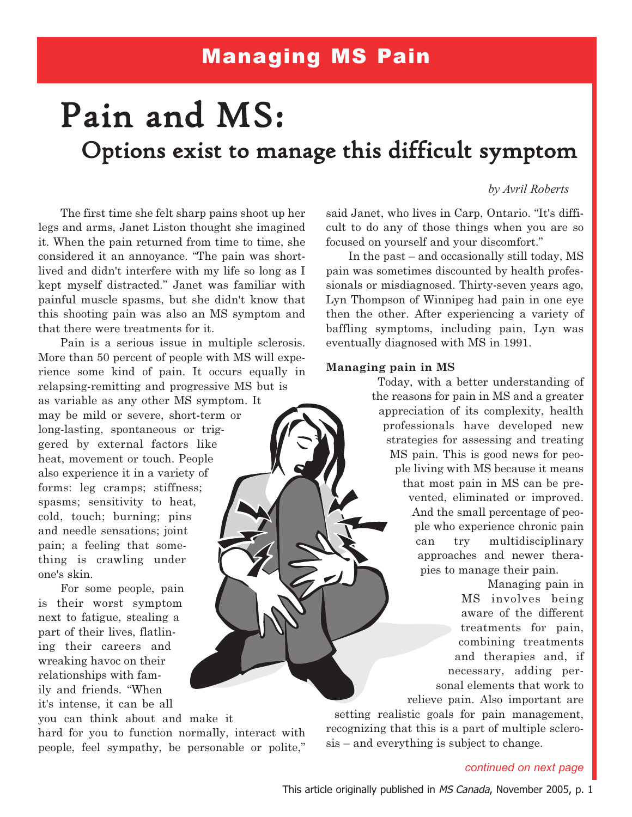# Managing MS Pain

# Pain and MS: Options exist to manage this difficult symptom

# by Avril Roberts

The first time she felt sharp pains shoot up her legs and arms, Janet Liston thought she imagined it. When the pain returned from time to time, she considered it an annoyance. "The pain was shortlived and didn't interfere with my life so long as I kept myself distracted." Janet was familiar with painful muscle spasms, but she didn't know that this shooting pain was also an MS symptom and that there were treatments for it.

Pain is a serious issue in multiple sclerosis. More than 50 percent of people with MS will experience some kind of pain. It occurs equally in relapsing-remitting and progressive MS but is

as variable as any other MS symptom. It may be mild or severe, short-term or long-lasting, spontaneous or triggered by external factors like heat, movement or touch. People also experience it in a variety of forms: leg cramps; stiffness; spasms; sensitivity to heat, cold, touch; burning; pins and needle sensations; joint pain; a feeling that something is crawling under one's skin.

For some people, pain is their worst symptom next to fatigue, stealing a part of their lives, flatlining their careers and wreaking havoc on their relationships with family and friends. "When it's intense, it can be all

you can think about and make it hard for you to function normally, interact with people, feel sympathy, be personable or polite," said Janet, who lives in Carp, Ontario. "It's difficult to do any of those things when you are so focused on yourself and your discomfort."

In the past – and occasionally still today, MS pain was sometimes discounted by health professionals or misdiagnosed. Thirty-seven years ago, Lyn Thompson of Winnipeg had pain in one eye then the other. After experiencing a variety of baffling symptoms, including pain, Lyn was eventually diagnosed with MS in 1991.

#### Managing pain in MS

Today, with a better understanding of the reasons for pain in MS and a greater appreciation of its complexity, health professionals have developed new strategies for assessing and treating MS pain. This is good news for people living with MS because it means that most pain in MS can be prevented, eliminated or improved. And the small percentage of people who experience chronic pain can try multidisciplinary approaches and newer therapies to manage their pain.

> Managing pain in MS involves being aware of the different treatments for pain, combining treatments and therapies and, if necessary, adding personal elements that work to relieve pain. Also important are

setting realistic goals for pain management, recognizing that this is a part of multiple sclerosis – and everything is subject to change.

## continued on next page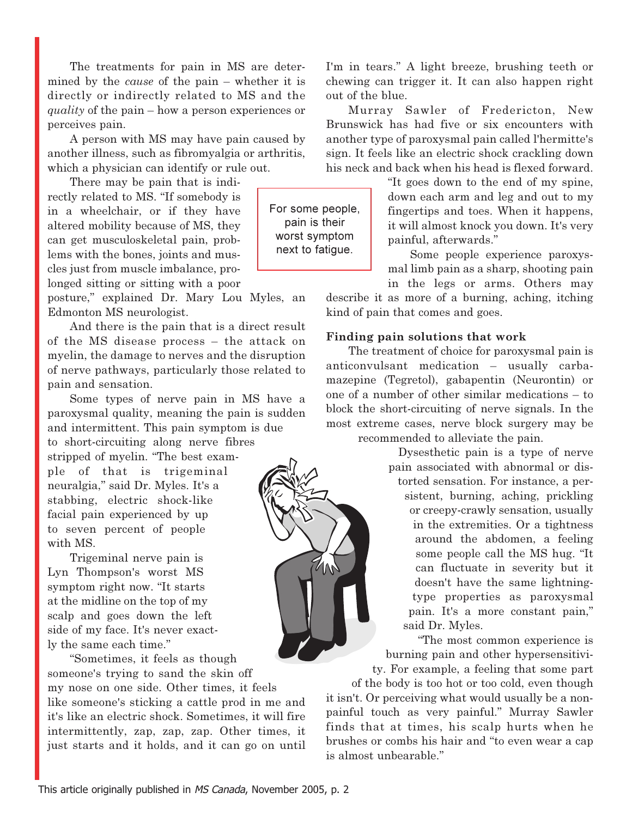The treatments for pain in MS are determined by the cause of the pain – whether it is directly or indirectly related to MS and the quality of the pain – how a person experiences or perceives pain.

A person with MS may have pain caused by another illness, such as fibromyalgia or arthritis, which a physician can identify or rule out.

There may be pain that is indirectly related to MS. "If somebody is in a wheelchair, or if they have altered mobility because of MS, they can get musculoskeletal pain, problems with the bones, joints and muscles just from muscle imbalance, prolonged sitting or sitting with a poor

posture," explained Dr. Mary Lou Myles, an Edmonton MS neurologist.

And there is the pain that is a direct result of the MS disease process – the attack on myelin, the damage to nerves and the disruption of nerve pathways, particularly those related to pain and sensation.

Some types of nerve pain in MS have a paroxysmal quality, meaning the pain is sudden and intermittent. This pain symptom is due

to short-circuiting along nerve fibres stripped of myelin. "The best example of that is trigeminal neuralgia," said Dr. Myles. It's a stabbing, electric shock-like facial pain experienced by up to seven percent of people with MS.

Trigeminal nerve pain is Lyn Thompson's worst MS symptom right now. "It starts at the midline on the top of my scalp and goes down the left side of my face. It's never exactly the same each time."

"Sometimes, it feels as though someone's trying to sand the skin off my nose on one side. Other times, it feels like someone's sticking a cattle prod in me and it's like an electric shock. Sometimes, it will fire intermittently, zap, zap, zap. Other times, it just starts and it holds, and it can go on until I'm in tears." A light breeze, brushing teeth or chewing can trigger it. It can also happen right out of the blue.

Murray Sawler of Fredericton, New Brunswick has had five or six encounters with another type of paroxysmal pain called l'hermitte's sign. It feels like an electric shock crackling down his neck and back when his head is flexed forward.

> "It goes down to the end of my spine, down each arm and leg and out to my fingertips and toes. When it happens, it will almost knock you down. It's very painful, afterwards."

> Some people experience paroxysmal limb pain as a sharp, shooting pain in the legs or arms. Others may

describe it as more of a burning, aching, itching kind of pain that comes and goes.

## Finding pain solutions that work

The treatment of choice for paroxysmal pain is anticonvulsant medication – usually carbamazepine (Tegretol), gabapentin (Neurontin) or one of a number of other similar medications – to block the short-circuiting of nerve signals. In the most extreme cases, nerve block surgery may be recommended to alleviate the pain.



"The most common experience is burning pain and other hypersensitivi-

ty. For example, a feeling that some part of the body is too hot or too cold, even though it isn't. Or perceiving what would usually be a nonpainful touch as very painful." Murray Sawler finds that at times, his scalp hurts when he brushes or combs his hair and "to even wear a cap is almost unbearable."

For some people, pain is their worst symptom next to fatigue.

1M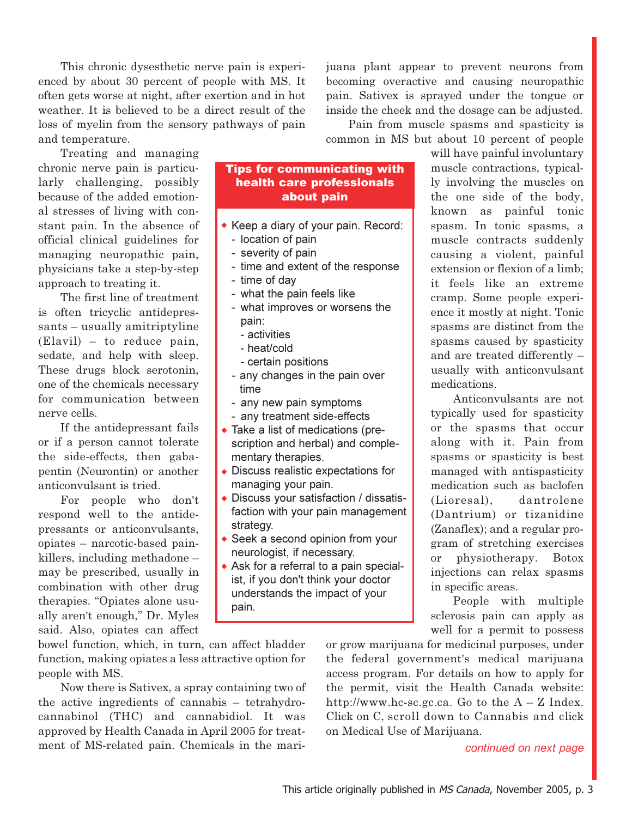This chronic dysesthetic nerve pain is experienced by about 30 percent of people with MS. It often gets worse at night, after exertion and in hot weather. It is believed to be a direct result of the loss of myelin from the sensory pathways of pain and temperature.

Treating and managing chronic nerve pain is particularly challenging, possibly because of the added emotional stresses of living with constant pain. In the absence of official clinical guidelines for managing neuropathic pain, physicians take a step-by-step approach to treating it.

The first line of treatment is often tricyclic antidepressants – usually amitriptyline (Elavil) – to reduce pain, sedate, and help with sleep. These drugs block serotonin, one of the chemicals necessary for communication between nerve cells.

If the antidepressant fails or if a person cannot tolerate the side-effects, then gabapentin (Neurontin) or another anticonvulsant is tried.

For people who don't respond well to the antidepressants or anticonvulsants, opiates – narcotic-based painkillers, including methadone – may be prescribed, usually in combination with other drug therapies. "Opiates alone usually aren't enough," Dr. Myles said. Also, opiates can affect Tips for communicating with health care professionals about pain

- $\bullet$  Keep a diary of your pain. Record:
	- location of pain
	- severity of pain
	- time and extent of the response
	- time of day
	- what the pain feels like
	- what improves or worsens the pain:
		- activities
		- heat/cold
		- certain positions
	- any changes in the pain over time
	- any new pain symptoms
	- any treatment side-effects
- Take a list of medications (prescription and herbal) and complementary therapies.
- Discuss realistic expectations for managing your pain.
- Discuss your satisfaction / dissatisfaction with your pain management strategy.
- ◆ Seek a second opinion from your neurologist, if necessary.
- Ask for a referral to a pain specialist, if you don't think your doctor understands the impact of your pain.

will have painful involuntary muscle contractions, typically involving the muscles on the one side of the body, known as painful tonic spasm. In tonic spasms, a muscle contracts suddenly causing a violent, painful extension or flexion of a limb; it feels like an extreme cramp. Some people experience it mostly at night. Tonic spasms are distinct from the spasms caused by spasticity and are treated differently – usually with anticonvulsant medications.

juana plant appear to prevent neurons from becoming overactive and causing neuropathic pain. Sativex is sprayed under the tongue or inside the cheek and the dosage can be adjusted. Pain from muscle spasms and spasticity is common in MS but about 10 percent of people

> Anticonvulsants are not typically used for spasticity or the spasms that occur along with it. Pain from spasms or spasticity is best managed with antispasticity medication such as baclofen (Lioresal), dantrolene (Dantrium) or tizanidine (Zanaflex); and a regular program of stretching exercises or physiotherapy. Botox injections can relax spasms in specific areas.

> People with multiple sclerosis pain can apply as well for a permit to possess

bowel function, which, in turn, can affect bladder function, making opiates a less attractive option for people with MS.

Now there is Sativex, a spray containing two of the active ingredients of cannabis – tetrahydrocannabinol (THC) and cannabidiol. It was approved by Health Canada in April 2005 for treatment of MS-related pain. Chemicals in the marior grow marijuana for medicinal purposes, under the federal government's medical marijuana access program. For details on how to apply for the permit, visit the Health Canada website: http://www.hc-sc.gc.ca. Go to the  $A - Z$  Index. Click on C, scroll down to Cannabis and click on Medical Use of Marijuana.

continued on next page